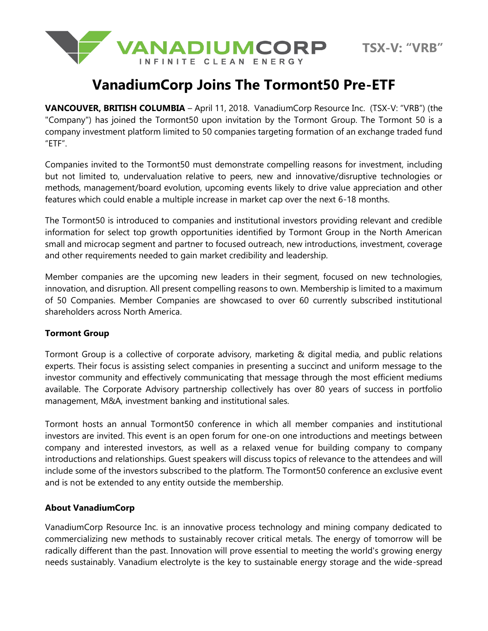

## **VanadiumCorp Joins The Tormont50 Pre-ETF**

**VANCOUVER, BRITISH COLUMBIA** – April 11, 2018. VanadiumCorp Resource Inc. (TSX-V: "VRB") (the "Company") has joined the Tormont50 upon invitation by the Tormont Group. The Tormont 50 is a company investment platform limited to 50 companies targeting formation of an exchange traded fund "ETF".

Companies invited to the Tormont50 must demonstrate compelling reasons for investment, including but not limited to, undervaluation relative to peers, new and innovative/disruptive technologies or methods, management/board evolution, upcoming events likely to drive value appreciation and other features which could enable a multiple increase in market cap over the next 6-18 months.

The Tormont50 is introduced to companies and institutional investors providing relevant and credible information for select top growth opportunities identified by Tormont Group in the North American small and microcap segment and partner to focused outreach, new introductions, investment, coverage and other requirements needed to gain market credibility and leadership.

Member companies are the upcoming new leaders in their segment, focused on new technologies, innovation, and disruption. All present compelling reasons to own. Membership is limited to a maximum of 50 Companies. Member Companies are showcased to over 60 currently subscribed institutional shareholders across North America.

## **Tormont Group**

Tormont Group is a collective of corporate advisory, marketing & digital media, and public relations experts. Their focus is assisting select companies in presenting a succinct and uniform message to the investor community and effectively communicating that message through the most efficient mediums available. The Corporate Advisory partnership collectively has over 80 years of success in portfolio management, M&A, investment banking and institutional sales.

Tormont hosts an annual Tormont50 conference in which all member companies and institutional investors are invited. This event is an open forum for one-on one introductions and meetings between company and interested investors, as well as a relaxed venue for building company to company introductions and relationships. Guest speakers will discuss topics of relevance to the attendees and will include some of the investors subscribed to the platform. The Tormont50 conference an exclusive event and is not be extended to any entity outside the membership.

## **About VanadiumCorp**

VanadiumCorp Resource Inc. is an innovative process technology and mining company dedicated to commercializing new methods to sustainably recover critical metals. The energy of tomorrow will be radically different than the past. Innovation will prove essential to meeting the world's growing energy needs sustainably. Vanadium electrolyte is the key to sustainable energy storage and the wide-spread